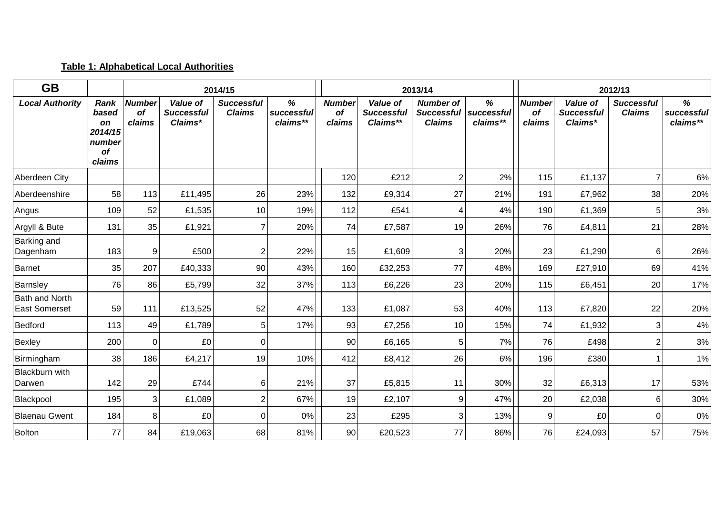## **Table 1: Alphabetical Local Authorities**

| <b>GB</b>                                     |                                                          |                                      |                                          | 2014/15                            |                             |                                      |                                           | 2013/14                                                |                             |                               |                                          | 2012/13                            |                             |
|-----------------------------------------------|----------------------------------------------------------|--------------------------------------|------------------------------------------|------------------------------------|-----------------------------|--------------------------------------|-------------------------------------------|--------------------------------------------------------|-----------------------------|-------------------------------|------------------------------------------|------------------------------------|-----------------------------|
| <b>Local Authority</b>                        | Rank<br>based<br>on<br>2014/15<br>number<br>of<br>claims | <b>Number</b><br><b>of</b><br>claims | Value of<br><b>Successful</b><br>Claims* | <b>Successful</b><br><b>Claims</b> | %<br>successful<br>claims** | <b>Number</b><br><b>of</b><br>claims | Value of<br><b>Successful</b><br>Claims** | <b>Number of</b><br><b>Successful</b><br><b>Claims</b> | %<br>successful<br>claims** | <b>Number</b><br>of<br>claims | Value of<br><b>Successful</b><br>Claims* | <b>Successful</b><br><b>Claims</b> | %<br>successful<br>claims** |
| Aberdeen City                                 |                                                          |                                      |                                          |                                    |                             | 120                                  | £212                                      | 2                                                      | 2%                          | 115                           | £1,137                                   | 7                                  | $6\%$                       |
| Aberdeenshire                                 | 58                                                       | 113                                  | £11,495                                  | 26                                 | 23%                         | 132                                  | £9,314                                    | 27                                                     | 21%                         | 191                           | £7,962                                   | 38                                 | 20%                         |
| Angus                                         | 109                                                      | 52                                   | £1,535                                   | 10                                 | 19%                         | 112                                  | £541                                      | 4                                                      | 4%                          | 190                           | £1,369                                   | 5                                  | 3%                          |
| Argyll & Bute                                 | 131                                                      | 35                                   | £1,921                                   | $\overline{7}$                     | 20%                         | 74                                   | £7,587                                    | 19                                                     | 26%                         | 76                            | £4,811                                   | 21                                 | 28%                         |
| <b>Barking and</b><br>Dagenham                | 183                                                      | 9                                    | £500                                     | 2                                  | 22%                         | 15                                   | £1,609                                    | 3                                                      | 20%                         | 23                            | £1,290                                   | 6                                  | 26%                         |
| <b>Barnet</b>                                 | 35                                                       | 207                                  | £40,333                                  | 90                                 | 43%                         | 160                                  | £32,253                                   | 77                                                     | 48%                         | 169                           | £27,910                                  | 69                                 | 41%                         |
| Barnsley                                      | 76                                                       | 86                                   | £5,799                                   | 32                                 | 37%                         | 113                                  | £6,226                                    | 23                                                     | 20%                         | 115                           | £6,451                                   | 20                                 | 17%                         |
| <b>Bath and North</b><br><b>East Somerset</b> | 59                                                       | 111                                  | £13,525                                  | 52                                 | 47%                         | 133                                  | £1,087                                    | 53                                                     | 40%                         | 113                           | £7,820                                   | 22                                 | 20%                         |
| Bedford                                       | 113                                                      | 49                                   | £1,789                                   | 5                                  | 17%                         | 93                                   | £7,256                                    | 10                                                     | 15%                         | 74                            | £1,932                                   | 3                                  | 4%                          |
| Bexley                                        | 200                                                      | $\Omega$                             | £0                                       | $\Omega$                           |                             | 90                                   | £6,165                                    | 5                                                      | 7%                          | 76                            | £498                                     | $\overline{2}$                     | $3%$                        |
| Birmingham                                    | 38                                                       | 186                                  | £4,217                                   | 19                                 | 10%                         | 412                                  | £8,412                                    | 26                                                     | 6%                          | 196                           | £380                                     |                                    | 1%                          |
| <b>Blackburn</b> with<br>Darwen               | 142                                                      | 29                                   | £744                                     | 6                                  | 21%                         | 37                                   | £5,815                                    | 11                                                     | 30%                         | 32                            | £6,313                                   | 17                                 | 53%                         |
| Blackpool                                     | 195                                                      | 3                                    | £1,089                                   | $\overline{2}$                     | 67%                         | 19                                   | £2,107                                    | 9                                                      | 47%                         | 20                            | £2,038                                   | 6                                  | 30%                         |
| <b>Blaenau Gwent</b>                          | 184                                                      | 8                                    | £0                                       | $\Omega$                           | 0%                          | 23                                   | £295                                      | 3                                                      | 13%                         | 9                             | £0                                       | $\Omega$                           | $0\%$                       |
| Bolton                                        | 77                                                       | 84                                   | £19,063                                  | 68                                 | 81%                         | 90                                   | £20,523                                   | 77                                                     | 86%                         | 76                            | £24,093                                  | 57                                 | 75%                         |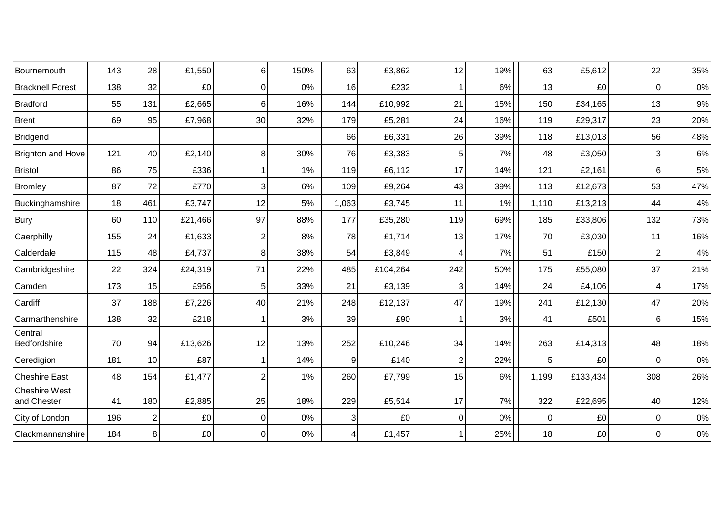| Bournemouth                         | 143 | 28             | £1,550                | 6              | 150% | 63    | £3,862   | 12             | 19% | 63             | £5,612   | 22             | 35%   |
|-------------------------------------|-----|----------------|-----------------------|----------------|------|-------|----------|----------------|-----|----------------|----------|----------------|-------|
| <b>Bracknell Forest</b>             | 138 | 32             | £0                    | $\mathbf 0$    | 0%   | 16    | £232     |                | 6%  | 13             | £0       | $\mathbf 0$    | $0\%$ |
| <b>Bradford</b>                     | 55  | 131            | £2,665                | 6              | 16%  | 144   | £10,992  | 21             | 15% | 150            | £34,165  | 13             | 9%    |
| <b>Brent</b>                        | 69  | 95             | £7,968                | 30             | 32%  | 179   | £5,281   | 24             | 16% | 119            | £29,317  | 23             | 20%   |
| <b>Bridgend</b>                     |     |                |                       |                |      | 66    | £6,331   | 26             | 39% | 118            | £13,013  | 56             | 48%   |
| <b>Brighton and Hove</b>            | 121 | 40             | £2,140                | $\, 8$         | 30%  | 76    | £3,383   | 5              | 7%  | 48             | £3,050   | 3              | $6\%$ |
| <b>Bristol</b>                      | 86  | 75             | £336                  | -1             | 1%   | 119   | £6,112   | 17             | 14% | 121            | £2,161   | 6              | 5%    |
| <b>Bromley</b>                      | 87  | 72             | £770                  | 3              | 6%   | 109   | £9,264   | 43             | 39% | 113            | £12,673  | 53             | 47%   |
| Buckinghamshire                     | 18  | 461            | £3,747                | 12             | 5%   | 1,063 | £3,745   | 11             | 1%  | 1,110          | £13,213  | 44             | $4\%$ |
| <b>Bury</b>                         | 60  | 110            | £21,466               | 97             | 88%  | 177   | £35,280  | 119            | 69% | 185            | £33,806  | 132            | 73%   |
| Caerphilly                          | 155 | 24             | £1,633                | $\overline{2}$ | 8%   | 78    | £1,714   | 13             | 17% | 70             | £3,030   | 11             | 16%   |
| Calderdale                          | 115 | 48             | £4,737                | 8              | 38%  | 54    | £3,849   |                | 7%  | 51             | £150     | $\overline{2}$ | 4%    |
| Cambridgeshire                      | 22  | 324            | £24,319               | 71             | 22%  | 485   | £104,264 | 242            | 50% | 175            | £55,080  | 37             | 21%   |
| Camden                              | 173 | 15             | £956                  | 5              | 33%  | 21    | £3,139   | 3              | 14% | 24             | £4,106   | 4              | 17%   |
| Cardiff                             | 37  | 188            | £7,226                | 40             | 21%  | 248   | £12,137  | 47             | 19% | 241            | £12,130  | 47             | 20%   |
| Carmarthenshire                     | 138 | 32             | £218                  | -1             | 3%   | 39    | £90      |                | 3%  | 41             | £501     | 6              | 15%   |
| Central<br>Bedfordshire             | 70  | 94             | £13,626               | 12             | 13%  | 252   | £10,246  | 34             | 14% | 263            | £14,313  | 48             | 18%   |
| Ceredigion                          | 181 | 10             | £87                   | -1             | 14%  | 9     | £140     | $\overline{2}$ | 22% | 5 <sub>1</sub> | £0       | $\Omega$       | 0%    |
| <b>Cheshire East</b>                | 48  | 154            | £1,477                | $\overline{2}$ | 1%   | 260   | £7,799   | 15             | 6%  | 1,199          | £133,434 | 308            | 26%   |
| <b>Cheshire West</b><br>and Chester | 41  | 180            | £2,885                | 25             | 18%  | 229   | £5,514   | 17             | 7%  | 322            | £22,695  | 40             | 12%   |
| City of London                      | 196 | $\overline{c}$ | £0                    | 0              | 0%   | 3     | £0       | 0              | 0%  | $\overline{0}$ | £0       | $\mathbf 0$    | $0\%$ |
| Clackmannanshire                    | 184 | 8 <sup>1</sup> | $\pmb{\mathfrak{L}}0$ | $\mathbf 0$    | 0%   | 4     | £1,457   |                | 25% | 18             | £0       | 0              | $0\%$ |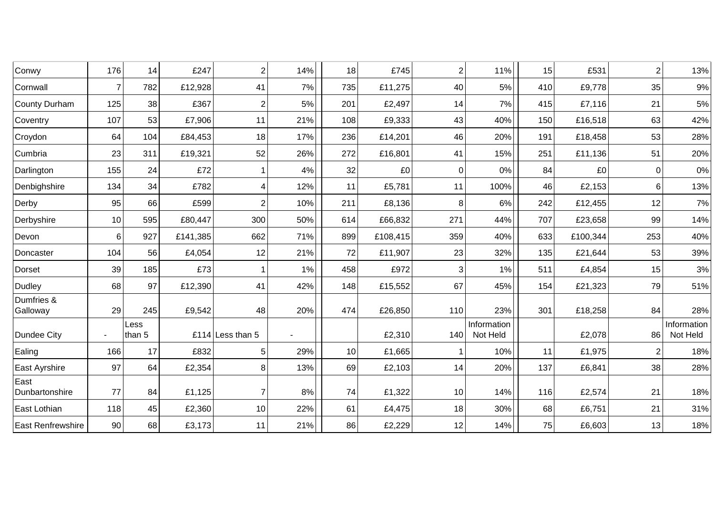| Conwy                  | 176 | 14             | £247     | $\overline{2}$     | 14% | 18  | £745     | $\overline{2}$ | 11%                     | 15  | £531     | $\overline{2}$ | 13%                     |
|------------------------|-----|----------------|----------|--------------------|-----|-----|----------|----------------|-------------------------|-----|----------|----------------|-------------------------|
| Cornwall               | 7   | 782            | £12,928  | 41                 | 7%  | 735 | £11,275  | 40             | 5%                      | 410 | £9,778   | 35             | $9\%$                   |
| County Durham          | 125 | 38             | £367     | $\overline{2}$     | 5%  | 201 | £2,497   | 14             | 7%                      | 415 | £7,116   | 21             | $5\%$                   |
| Coventry               | 107 | 53             | £7,906   | 11                 | 21% | 108 | £9,333   | 43             | 40%                     | 150 | £16,518  | 63             | 42%                     |
| Croydon                | 64  | 104            | £84,453  | 18                 | 17% | 236 | £14,201  | 46             | 20%                     | 191 | £18,458  | 53             | 28%                     |
| Cumbria                | 23  | 311            | £19,321  | 52                 | 26% | 272 | £16,801  | 41             | 15%                     | 251 | £11,136  | 51             | 20%                     |
| Darlington             | 155 | 24             | £72      |                    | 4%  | 32  | £0       | 0              | 0%                      | 84  | £0       | $\Omega$       | $0\%$                   |
| Denbighshire           | 134 | 34             | £782     | $\overline{4}$     | 12% | 11  | £5,781   | 11             | 100%                    | 46  | £2,153   | 6              | 13%                     |
| Derby                  | 95  | 66             | £599     | $\overline{2}$     | 10% | 211 | £8,136   | 8              | 6%                      | 242 | £12,455  | 12             | $7\%$                   |
| Derbyshire             | 10  | 595            | £80,447  | 300                | 50% | 614 | £66,832  | 271            | 44%                     | 707 | £23,658  | 99             | 14%                     |
| Devon                  | 6   | 927            | £141,385 | 662                | 71% | 899 | £108,415 | 359            | 40%                     | 633 | £100,344 | 253            | 40%                     |
| Doncaster              | 104 | 56             | £4,054   | 12                 | 21% | 72  | £11,907  | 23             | 32%                     | 135 | £21,644  | 53             | 39%                     |
| Dorset                 | 39  | 185            | £73      | -1                 | 1%  | 458 | £972     | 3              | 1%                      | 511 | £4,854   | 15             | $3%$                    |
| Dudley                 | 68  | 97             | £12,390  | 41                 | 42% | 148 | £15,552  | 67             | 45%                     | 154 | £21,323  | 79             | 51%                     |
| Dumfries &<br>Galloway | 29  | 245            | £9,542   | 48                 | 20% | 474 | £26,850  | 110            | 23%                     | 301 | £18,258  | 84             | 28%                     |
| Dundee City            |     | Less<br>than 5 |          | £114 Less than $5$ |     |     | £2,310   | 140            | Information<br>Not Held |     | £2,078   | 86             | Information<br>Not Held |
| Ealing                 | 166 | 17             | £832     | $\overline{5}$     | 29% | 10  | £1,665   |                | 10%                     | 11  | £1,975   | 2              | 18%                     |
| East Ayrshire          | 97  | 64             | £2,354   | 8                  | 13% | 69  | £2,103   | 14             | 20%                     | 137 | £6,841   | 38             | 28%                     |
| East<br>Dunbartonshire | 77  | 84             | £1,125   | $\overline{7}$     | 8%  | 74  | £1,322   | 10             | 14%                     | 116 | £2,574   | 21             | 18%                     |
| East Lothian           | 118 | 45             | £2,360   | 10                 | 22% | 61  | £4,475   | 18             | 30%                     | 68  | £6,751   | 21             | 31%                     |
| East Renfrewshire      | 90  | 68             | £3,173   | 11                 | 21% | 86  | £2,229   | 12             | 14%                     | 75  | £6,603   | 13             | 18%                     |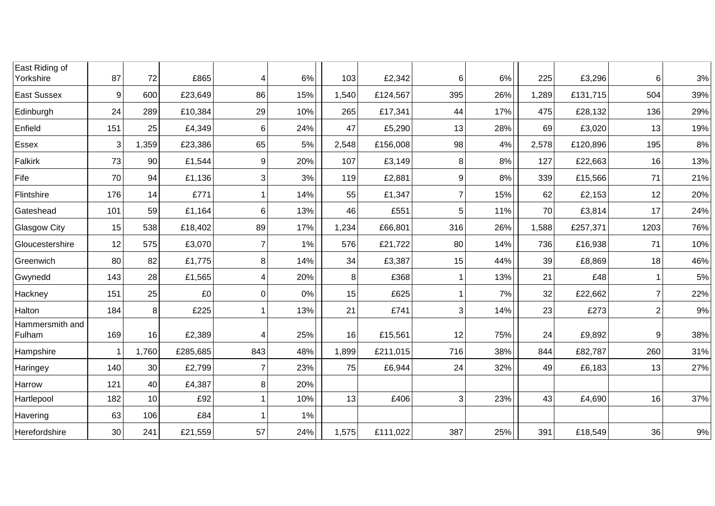| East Riding of<br>Yorkshire | 87     | 72    | £865     | 4   | 6%  | 103   | £2,342   | 6   | 6%  | 225   | £3,296   | 6              | $3%$  |
|-----------------------------|--------|-------|----------|-----|-----|-------|----------|-----|-----|-------|----------|----------------|-------|
| <b>East Sussex</b>          | 9      | 600   | £23,649  | 86  | 15% | 1,540 | £124,567 | 395 | 26% | 1,289 | £131,715 | 504            | 39%   |
|                             |        |       |          |     |     |       |          |     |     |       |          |                |       |
| Edinburgh                   | 24     | 289   | £10,384  | 29  | 10% | 265   | £17,341  | 44  | 17% | 475   | £28,132  | 136            | 29%   |
| Enfield                     | 151    | 25    | £4,349   | 6   | 24% | 47    | £5,290   | 13  | 28% | 69    | £3,020   | 13             | 19%   |
| Essex                       | 3      | 1,359 | £23,386  | 65  | 5%  | 2,548 | £156,008 | 98  | 4%  | 2,578 | £120,896 | 195            | 8%    |
| Falkirk                     | 73     | 90    | £1,544   | 9   | 20% | 107   | £3,149   | 8   | 8%  | 127   | £22,663  | 16             | 13%   |
| Fife                        | 70     | 94    | £1,136   | 3   | 3%  | 119   | £2,881   | 9   | 8%  | 339   | £15,566  | 71             | 21%   |
| Flintshire                  | 176    | 14    | £771     |     | 14% | 55    | £1,347   | 7   | 15% | 62    | £2,153   | 12             | 20%   |
| Gateshead                   | 101    | 59    | £1,164   | 6   | 13% | 46    | £551     | 5   | 11% | 70    | £3,814   | 17             | 24%   |
| <b>Glasgow City</b>         | 15     | 538   | £18,402  | 89  | 17% | 1,234 | £66,801  | 316 | 26% | 1,588 | £257,371 | 1203           | 76%   |
| Gloucestershire             | 12     | 575   | £3,070   | 7   | 1%  | 576   | £21,722  | 80  | 14% | 736   | £16,938  | 71             | 10%   |
| Greenwich                   | 80     | 82    | £1,775   | 8   | 14% | 34    | £3,387   | 15  | 44% | 39    | £8,869   | 18             | 46%   |
| Gwynedd                     | 143    | 28    | £1,565   | 4   | 20% | 8     | £368     |     | 13% | 21    | £48      |                | 5%    |
| Hackney                     | 151    | 25    | £0       | 0   | 0%  | 15    | £625     |     | 7%  | 32    | £22,662  | 7              | 22%   |
| Halton                      | 184    | 8     | £225     |     | 13% | 21    | £741     | 3   | 14% | 23    | £273     | $\overline{2}$ | $9\%$ |
| Hammersmith and<br>Fulham   | 169    | 16    | £2,389   | 4   | 25% | 16    | £15,561  | 12  | 75% | 24    | £9,892   | 9              | 38%   |
| Hampshire                   |        | 1,760 | £285,685 | 843 | 48% | 1,899 | £211,015 | 716 | 38% | 844   | £82,787  | 260            | 31%   |
| Haringey                    | 140    | 30    | £2,799   | 7   | 23% | 75    | £6,944   | 24  | 32% | 49    | £6,183   | 13             | 27%   |
| Harrow                      | 121    | 40    | £4,387   | 8   | 20% |       |          |     |     |       |          |                |       |
| Hartlepool                  | 182    | 10    | £92      |     | 10% | 13    | £406     | 3   | 23% | 43    | £4,690   | 16             | 37%   |
| Havering                    | 63     | 106   | £84      |     | 1%  |       |          |     |     |       |          |                |       |
| Herefordshire               | $30\,$ | 241   | £21,559  | 57  | 24% | 1,575 | £111,022 | 387 | 25% | 391   | £18,549  | 36             | $9\%$ |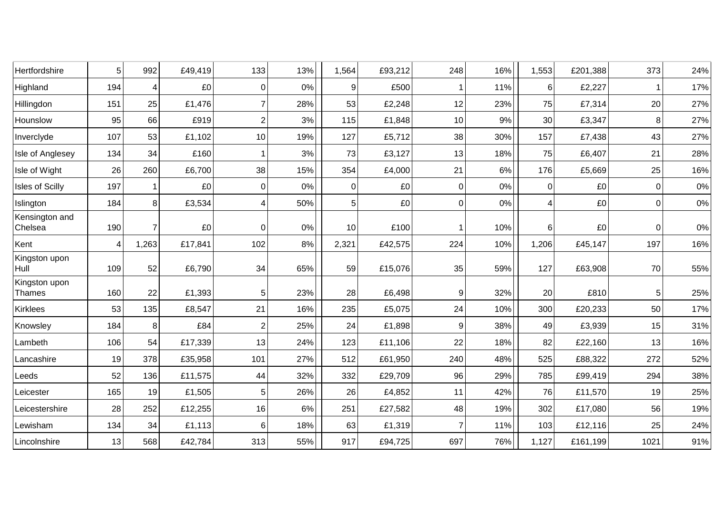| Hertfordshire             | 5              | 992            | £49,419 | 133            | 13% | 1,564 | £93,212 | 248            | 16%   | 1,553          | £201,388 | 373            | 24%   |
|---------------------------|----------------|----------------|---------|----------------|-----|-------|---------|----------------|-------|----------------|----------|----------------|-------|
| Highland                  | 194            | 4              | £0      | 0              | 0%  | 9     | £500    |                | 11%   | 6              | £2,227   |                | 17%   |
| Hillingdon                | 151            | 25             | £1,476  | 7              | 28% | 53    | £2,248  | 12             | 23%   | 75             | £7,314   | 20             | 27%   |
| Hounslow                  | 95             | 66             | £919    | $\overline{2}$ | 3%  | 115   | £1,848  | 10             | 9%    | 30             | £3,347   | 8              | 27%   |
| Inverclyde                | 107            | 53             | £1,102  | 10             | 19% | 127   | £5,712  | 38             | 30%   | 157            | £7,438   | 43             | 27%   |
| Isle of Anglesey          | 134            | 34             | £160    |                | 3%  | 73    | £3,127  | 13             | 18%   | 75             | £6,407   | 21             | 28%   |
| Isle of Wight             | 26             | 260            | £6,700  | 38             | 15% | 354   | £4,000  | 21             | 6%    | 176            | £5,669   | 25             | 16%   |
| Isles of Scilly           | 197            |                | £0      | 0              | 0%  | 0     | £0      | $\mathbf 0$    | 0%    | $\overline{0}$ | £0       | 0              | $0\%$ |
| Islington                 | 184            | 8              | £3,534  | 4              | 50% | 5     | £0      | $\overline{0}$ | $0\%$ | 4              | £0       | $\overline{0}$ | $0\%$ |
| Kensington and<br>Chelsea | 190            | $\overline{7}$ | £0      | $\Omega$       | 0%  | 10    | £100    | 1              | 10%   | 6              | £0       | $\Omega$       | $0\%$ |
| Kent                      | $\overline{4}$ | 1,263          | £17,841 | 102            | 8%  | 2,321 | £42,575 | 224            | 10%   | 1,206          | £45,147  | 197            | 16%   |
| Kingston upon<br>Hull     | 109            | 52             | £6,790  | 34             | 65% | 59    | £15,076 | 35             | 59%   | 127            | £63,908  | 70             | 55%   |
| Kingston upon<br>Thames   | 160            | 22             | £1,393  | 5              | 23% | 28    | £6,498  | 9              | 32%   | 20             | £810     | 5              | 25%   |
| Kirklees                  | 53             | 135            | £8,547  | 21             | 16% | 235   | £5,075  | 24             | 10%   | 300            | £20,233  | 50             | 17%   |
| Knowsley                  | 184            | 8              | £84     | $\overline{2}$ | 25% | 24    | £1,898  | 9              | 38%   | 49             | £3,939   | 15             | 31%   |
| Lambeth                   | 106            | 54             | £17,339 | 13             | 24% | 123   | £11,106 | 22             | 18%   | 82             | £22,160  | 13             | 16%   |
| Lancashire                | 19             | 378            | £35,958 | 101            | 27% | 512   | £61,950 | 240            | 48%   | 525            | £88,322  | 272            | 52%   |
| Leeds                     | 52             | 136            | £11,575 | 44             | 32% | 332   | £29,709 | 96             | 29%   | 785            | £99,419  | 294            | 38%   |
| Leicester                 | 165            | 19             | £1,505  | 5              | 26% | 26    | £4,852  | 11             | 42%   | 76             | £11,570  | 19             | 25%   |
| Leicestershire            | 28             | 252            | £12,255 | 16             | 6%  | 251   | £27,582 | 48             | 19%   | 302            | £17,080  | 56             | 19%   |
| Lewisham                  | 134            | 34             | £1,113  | 6              | 18% | 63    | £1,319  | 7              | 11%   | 103            | £12,116  | 25             | 24%   |
| Lincolnshire              | 13             | 568            | £42,784 | 313            | 55% | 917   | £94,725 | 697            | 76%   | 1,127          | £161,199 | 1021           | 91%   |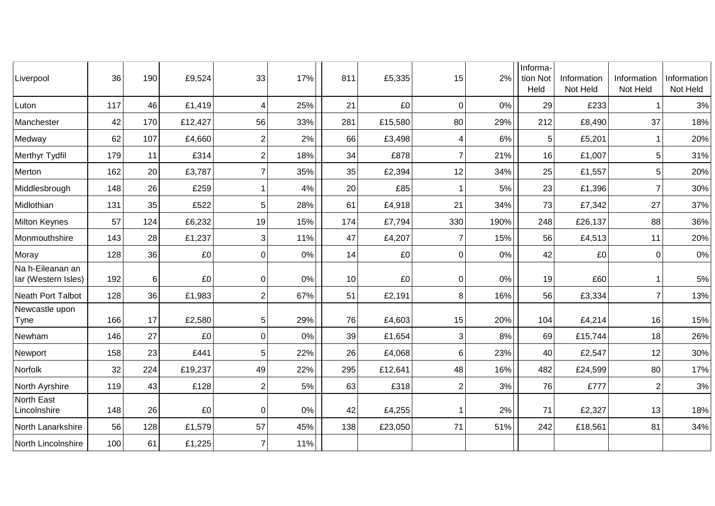| Liverpool                               | 36  | 190 | £9,524  | 33       | 17%   | 811 | £5,335  | 15                      | 2%   | Informa-<br>tion Not<br>Held | Information<br>Not Held | Information<br>Not Held | Information<br>Not Held |
|-----------------------------------------|-----|-----|---------|----------|-------|-----|---------|-------------------------|------|------------------------------|-------------------------|-------------------------|-------------------------|
| Luton                                   | 117 | 46  | £1,419  | 4        | 25%   | 21  | £0      | 0                       | 0%   | 29                           | £233                    |                         | $3%$                    |
| Manchester                              | 42  | 170 | £12,427 | 56       | 33%   | 281 | £15,580 | 80                      | 29%  | 212                          | £8,490                  | 37                      | 18%                     |
| Medway                                  | 62  | 107 | £4,660  | 2        | 2%    | 66  | £3,498  | 4                       | 6%   | 5                            | £5,201                  | 1                       | 20%                     |
| Merthyr Tydfil                          | 179 | 11  | £314    | 2        | 18%   | 34  | £878    | $\overline{7}$          | 21%  | 16                           | £1,007                  | 5                       | 31%                     |
| Merton                                  | 162 | 20  | £3,787  | 7        | 35%   | 35  | £2,394  | 12                      | 34%  | 25                           | £1,557                  | 5                       | 20%                     |
| Middlesbrough                           | 148 | 26  | £259    |          | 4%    | 20  | £85     |                         | 5%   | 23                           | £1,396                  | $\overline{7}$          | 30%                     |
| Midlothian                              | 131 | 35  | £522    | 5        | 28%   | 61  | £4,918  | 21                      | 34%  | 73                           | £7,342                  | 27                      | 37%                     |
| Milton Keynes                           | 57  | 124 | £6,232  | 19       | 15%   | 174 | £7,794  | 330                     | 190% | 248                          | £26,137                 | 88                      | 36%                     |
| Monmouthshire                           | 143 | 28  | £1,237  | 3        | 11%   | 47  | £4,207  | 7                       | 15%  | 56                           | £4,513                  | 11                      | 20%                     |
| Moray                                   | 128 | 36  | £0      | 0        | $0\%$ | 14  | £0      | 0                       | 0%   | 42                           | £0                      | 0                       | $0\%$                   |
| Na h-Eileanan an<br>lar (Western Isles) | 192 | 6   | £0      | 0        | $0\%$ | 10  | £0      | 0                       | 0%   | 19                           | £60                     |                         | $5\%$                   |
| <b>Neath Port Talbot</b>                | 128 | 36  | £1,983  | 2        | 67%   | 51  | £2,191  | 8                       | 16%  | 56                           | £3,334                  | $\overline{7}$          | 13%                     |
| Newcastle upon<br>Tyne                  | 166 | 17  | £2,580  | 5        | 29%   | 76  | £4,603  | 15                      | 20%  | 104                          | £4,214                  | 16                      | 15%                     |
| Newham                                  | 146 | 27  | £0      | 0        | 0%    | 39  | £1,654  | 3                       | 8%   | 69                           | £15,744                 | 18                      | 26%                     |
| Newport                                 | 158 | 23  | £441    | 5        | 22%   | 26  | £4,068  | 6                       | 23%  | 40                           | £2,547                  | 12                      | 30%                     |
| Norfolk                                 | 32  | 224 | £19,237 | 49       | 22%   | 295 | £12,641 | 48                      | 16%  | 482                          | £24,599                 | 80                      | 17%                     |
| North Ayrshire                          | 119 | 43  | £128    | 2        | 5%    | 63  | £318    | $\overline{\mathbf{c}}$ | 3%   | 76                           | £777                    | $\overline{2}$          | 3%                      |
| North East<br>Lincolnshire              | 148 | 26  | £0      | $\Omega$ | 0%    | 42  | £4,255  |                         | 2%   | 71                           | £2,327                  | 13                      | 18%                     |
| North Lanarkshire                       | 56  | 128 | £1,579  | 57       | 45%   | 138 | £23,050 | 71                      | 51%  | 242                          | £18,561                 | 81                      | 34%                     |
| North Lincolnshire                      | 100 | 61  | £1,225  |          | 11%   |     |         |                         |      |                              |                         |                         |                         |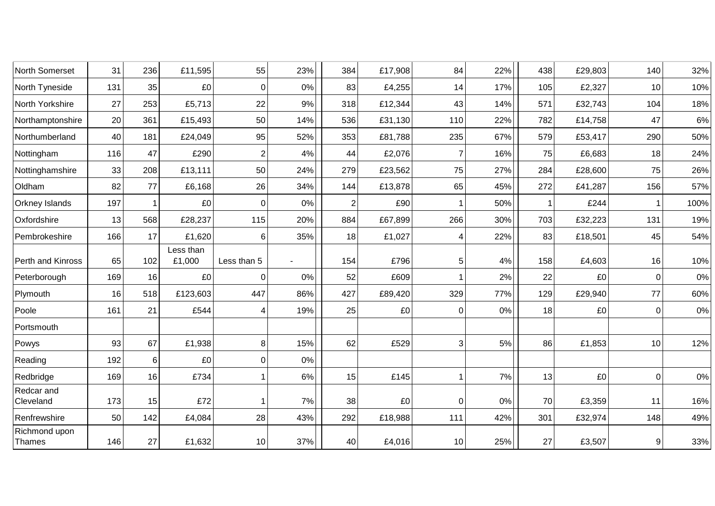| North Somerset          | 31  | 236 | £11,595             | 55             | 23% | 384            | £17,908 | 84       | 22% | 438          | £29,803 | 140            | 32%   |
|-------------------------|-----|-----|---------------------|----------------|-----|----------------|---------|----------|-----|--------------|---------|----------------|-------|
| North Tyneside          | 131 | 35  | £0                  | 0              | 0%  | 83             | £4,255  | 14       | 17% | 105          | £2,327  | 10             | 10%   |
| North Yorkshire         | 27  | 253 | £5,713              | 22             | 9%  | 318            | £12,344 | 43       | 14% | 571          | £32,743 | 104            | 18%   |
| Northamptonshire        | 20  | 361 | £15,493             | 50             | 14% | 536            | £31,130 | 110      | 22% | 782          | £14,758 | 47             | 6%    |
| Northumberland          | 40  | 181 | £24,049             | 95             | 52% | 353            | £81,788 | 235      | 67% | 579          | £53,417 | 290            | 50%   |
| Nottingham              | 116 | 47  | £290                | $\overline{2}$ | 4%  | 44             | £2,076  | 7        | 16% | 75           | £6,683  | 18             | 24%   |
| Nottinghamshire         | 33  | 208 | £13,111             | 50             | 24% | 279            | £23,562 | 75       | 27% | 284          | £28,600 | 75             | 26%   |
| Oldham                  | 82  | 77  | £6,168              | 26             | 34% | 144            | £13,878 | 65       | 45% | 272          | £41,287 | 156            | 57%   |
| <b>Orkney Islands</b>   | 197 | 1   | £0                  | $\overline{0}$ | 0%  | $\overline{2}$ | £90     |          | 50% | $\mathbf{1}$ | £244    | 1              | 100%  |
| Oxfordshire             | 13  | 568 | £28,237             | 115            | 20% | 884            | £67,899 | 266      | 30% | 703          | £32,223 | 131            | 19%   |
| Pembrokeshire           | 166 | 17  | £1,620              | 6              | 35% | 18             | £1,027  | 4        | 22% | 83           | £18,501 | 45             | 54%   |
| Perth and Kinross       | 65  | 102 | Less than<br>£1,000 | Less than 5    |     | 154            | £796    | 5        | 4%  | 158          | £4,603  | 16             | 10%   |
| Peterborough            | 169 | 16  | £0                  | $\Omega$       | 0%  | 52             | £609    |          | 2%  | 22           | £0      | $\Omega$       | 0%    |
| Plymouth                | 16  | 518 | £123,603            | 447            | 86% | 427            | £89,420 | 329      | 77% | 129          | £29,940 | 77             | 60%   |
| Poole                   | 161 | 21  | £544                | 4              | 19% | 25             | £0      | 0        | 0%  | 18           | £0      | $\overline{0}$ | $0\%$ |
| Portsmouth              |     |     |                     |                |     |                |         |          |     |              |         |                |       |
| Powys                   | 93  | 67  | £1,938              | 8              | 15% | 62             | £529    | 3        | 5%  | 86           | £1,853  | 10             | 12%   |
| Reading                 | 192 | 6   | £0                  | $\overline{0}$ | 0%  |                |         |          |     |              |         |                |       |
| Redbridge               | 169 | 16  | £734                | 1              | 6%  | 15             | £145    |          | 7%  | 13           | £0      | $\overline{0}$ | 0%    |
| Redcar and<br>Cleveland | 173 | 15  | £72                 |                | 7%  | 38             | £0      | $\Omega$ | 0%  | 70           | £3,359  | 11             | 16%   |
| Renfrewshire            | 50  | 142 | £4,084              | 28             | 43% | 292            | £18,988 | 111      | 42% | 301          | £32,974 | 148            | 49%   |
| Richmond upon<br>Thames | 146 | 27  | £1,632              | 10             | 37% | 40             | £4,016  | 10       | 25% | 27           | £3,507  | 9              | 33%   |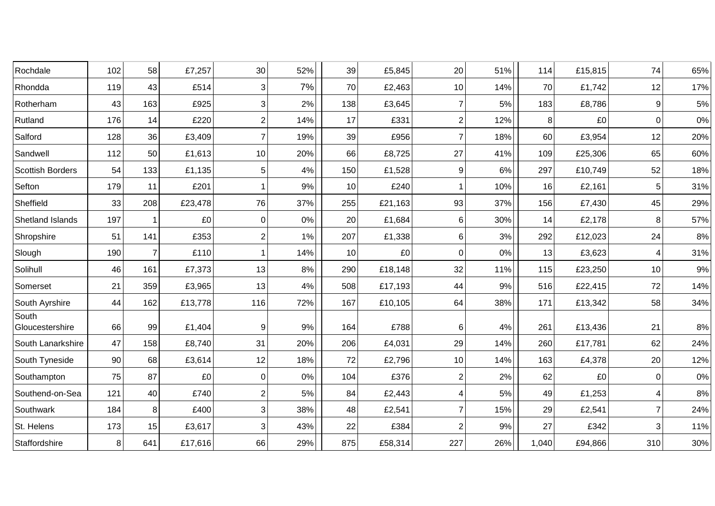| Rochdale                 | 102 | 58             | £7,257  | 30             | 52% | 39  | £5,845  | 20  | 51% | 114   | £15,815 | 74             | 65%   |
|--------------------------|-----|----------------|---------|----------------|-----|-----|---------|-----|-----|-------|---------|----------------|-------|
| Rhondda                  | 119 | 43             | £514    | 3              | 7%  | 70  | £2,463  | 10  | 14% | 70    | £1,742  | 12             | 17%   |
| Rotherham                | 43  | 163            | £925    | $\mathbf{3}$   | 2%  | 138 | £3,645  |     | 5%  | 183   | £8,786  | 9              | $5\%$ |
| Rutland                  | 176 | 14             | £220    | $\sqrt{2}$     | 14% | 17  | £331    | 2   | 12% | 8     | £0      | $\overline{0}$ | $0\%$ |
| Salford                  | 128 | 36             | £3,409  | $\overline{7}$ | 19% | 39  | £956    | 7   | 18% | 60    | £3,954  | 12             | 20%   |
| Sandwell                 | 112 | 50             | £1,613  | 10             | 20% | 66  | £8,725  | 27  | 41% | 109   | £25,306 | 65             | 60%   |
| <b>Scottish Borders</b>  | 54  | 133            | £1,135  | $\overline{5}$ | 4%  | 150 | £1,528  | 9   | 6%  | 297   | £10,749 | 52             | 18%   |
| Sefton                   | 179 | 11             | £201    |                | 9%  | 10  | £240    |     | 10% | 16    | £2,161  | 5              | 31%   |
| Sheffield                | 33  | 208            | £23,478 | 76             | 37% | 255 | £21,163 | 93  | 37% | 156   | £7,430  | 45             | 29%   |
| Shetland Islands         | 197 |                | £0      | $\overline{0}$ | 0%  | 20  | £1,684  | 6   | 30% | 14    | £2,178  | 8              | 57%   |
| Shropshire               | 51  | 141            | £353    | $\overline{2}$ | 1%  | 207 | £1,338  | 6   | 3%  | 292   | £12,023 | 24             | 8%    |
| Slough                   | 190 | $\overline{7}$ | £110    | -1             | 14% | 10  | £0      | 0   | 0%  | 13    | £3,623  | 4              | 31%   |
| Solihull                 | 46  | 161            | £7,373  | 13             | 8%  | 290 | £18,148 | 32  | 11% | 115   | £23,250 | 10             | $9\%$ |
| Somerset                 | 21  | 359            | £3,965  | 13             | 4%  | 508 | £17,193 | 44  | 9%  | 516   | £22,415 | 72             | 14%   |
| South Ayrshire           | 44  | 162            | £13,778 | 116            | 72% | 167 | £10,105 | 64  | 38% | 171   | £13,342 | 58             | 34%   |
| South<br>Gloucestershire | 66  | 99             | £1,404  | 9              | 9%  | 164 | £788    | 6   | 4%  | 261   | £13,436 | 21             | $8\%$ |
| South Lanarkshire        | 47  | 158            | £8,740  | 31             | 20% | 206 | £4,031  | 29  | 14% | 260   | £17,781 | 62             | 24%   |
| South Tyneside           | 90  | 68             | £3,614  | 12             | 18% | 72  | £2,796  | 10  | 14% | 163   | £4,378  | 20             | 12%   |
| Southampton              | 75  | 87             | £0      | $\overline{0}$ | 0%  | 104 | £376    | 2   | 2%  | 62    | £0      | $\overline{0}$ | $0\%$ |
| Southend-on-Sea          | 121 | 40             | £740    | $\overline{2}$ | 5%  | 84  | £2,443  |     | 5%  | 49    | £1,253  |                | $8\%$ |
| Southwark                | 184 | 8              | £400    | $\mathbf{3}$   | 38% | 48  | £2,541  | 7   | 15% | 29    | £2,541  | $\overline{7}$ | 24%   |
| St. Helens               | 173 | 15             | £3,617  | 3              | 43% | 22  | £384    | 2   | 9%  | 27    | £342    | 3              | 11%   |
| Staffordshire            | 8   | 641            | £17,616 | 66             | 29% | 875 | £58,314 | 227 | 26% | 1,040 | £94,866 | 310            | 30%   |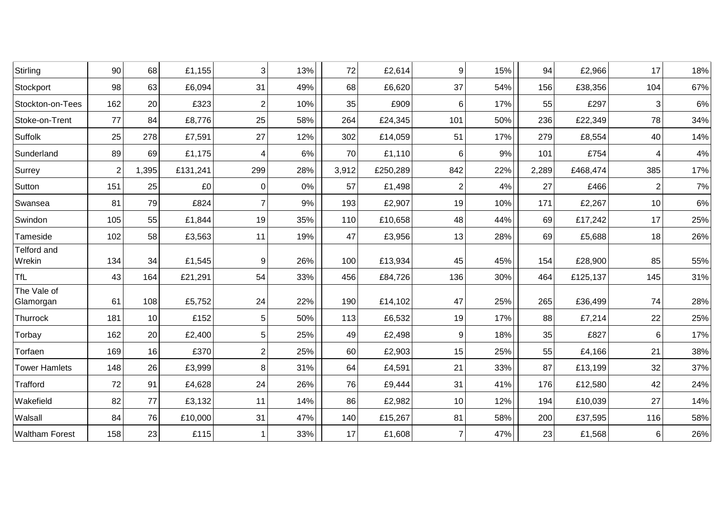| Stirling                     | 90             | 68    | £1,155   | 3              | 13% | 72    | £2,614   | $\overline{9}$ | 15% | 94    | £2,966   | 17             | 18%   |
|------------------------------|----------------|-------|----------|----------------|-----|-------|----------|----------------|-----|-------|----------|----------------|-------|
| Stockport                    | 98             | 63    | £6,094   | 31             | 49% | 68    | £6,620   | 37             | 54% | 156   | £38,356  | 104            | 67%   |
| Stockton-on-Tees             | 162            | 20    | £323     | $\overline{2}$ | 10% | 35    | £909     | $6 \,$         | 17% | 55    | £297     | 3              | 6%    |
| Stoke-on-Trent               | 77             | 84    | £8,776   | 25             | 58% | 264   | £24,345  | 101            | 50% | 236   | £22,349  | 78             | 34%   |
| Suffolk                      | 25             | 278   | £7,591   | 27             | 12% | 302   | £14,059  | 51             | 17% | 279   | £8,554   | 40             | 14%   |
| Sunderland                   | 89             | 69    | £1,175   | 4              | 6%  | 70    | £1,110   | $6 \,$         | 9%  | 101   | £754     |                | $4\%$ |
| Surrey                       | $\overline{2}$ | 1,395 | £131,241 | 299            | 28% | 3,912 | £250,289 | 842            | 22% | 2,289 | £468,474 | 385            | 17%   |
| Sutton                       | 151            | 25    | £0       | 0              | 0%  | 57    | £1,498   | 2              | 4%  | 27    | £466     | $\overline{2}$ | 7%    |
| Swansea                      | 81             | 79    | £824     |                | 9%  | 193   | £2,907   | 19             | 10% | 171   | £2,267   | 10             | 6%    |
| Swindon                      | 105            | 55    | £1,844   | 19             | 35% | 110   | £10,658  | 48             | 44% | 69    | £17,242  | 17             | 25%   |
| Tameside                     | 102            | 58    | £3,563   | 11             | 19% | 47    | £3,956   | 13             | 28% | 69    | £5,688   | 18             | 26%   |
| <b>Telford and</b><br>Wrekin | 134            | 34    | £1,545   | 9              | 26% | 100   | £13,934  | 45             | 45% | 154   | £28,900  | 85             | 55%   |
| <b>TfL</b>                   | 43             | 164   | £21,291  | 54             | 33% | 456   | £84,726  | 136            | 30% | 464   | £125,137 | 145            | 31%   |
| The Vale of<br>Glamorgan     | 61             | 108   | £5,752   | 24             | 22% | 190   | £14,102  | 47             | 25% | 265   | £36,499  | 74             | 28%   |
| Thurrock                     | 181            | 10    | £152     | 5              | 50% | 113   | £6,532   | 19             | 17% | 88    | £7,214   | 22             | 25%   |
| Torbay                       | 162            | 20    | £2,400   | 5              | 25% | 49    | £2,498   | $\overline{9}$ | 18% | 35    | £827     | 6              | 17%   |
| Torfaen                      | 169            | 16    | £370     | 2              | 25% | 60    | £2,903   | 15             | 25% | 55    | £4,166   | 21             | 38%   |
| <b>Tower Hamlets</b>         | 148            | 26    | £3,999   | 8              | 31% | 64    | £4,591   | 21             | 33% | 87    | £13,199  | 32             | 37%   |
| Trafford                     | 72             | 91    | £4,628   | 24             | 26% | 76    | £9,444   | 31             | 41% | 176   | £12,580  | 42             | 24%   |
| Wakefield                    | 82             | 77    | £3,132   | 11             | 14% | 86    | £2,982   | 10             | 12% | 194   | £10,039  | 27             | 14%   |
| Walsall                      | 84             | 76    | £10,000  | 31             | 47% | 140   | £15,267  | 81             | 58% | 200   | £37,595  | 116            | 58%   |
| <b>Waltham Forest</b>        | 158            | 23    | £115     |                | 33% | 17    | £1,608   | 7              | 47% | 23    | £1,568   | 6              | 26%   |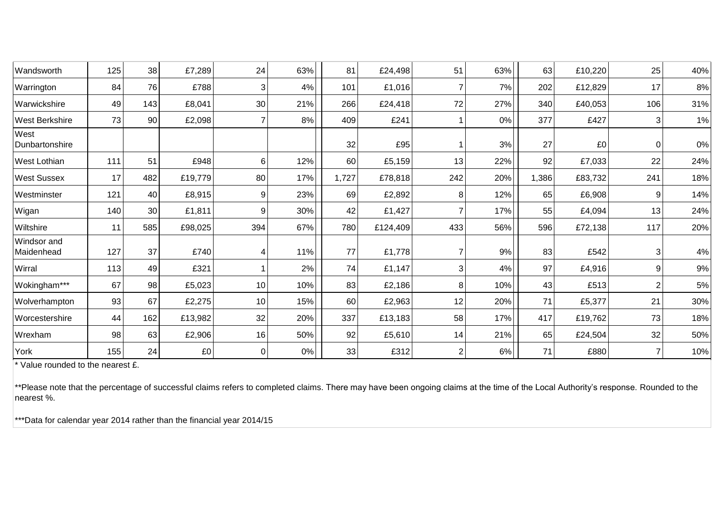| Wandsworth                       | 125 | 38  | £7,289  | 24       | 63%   | 81    | £24,498  | 51  | 63% | 63    | £10,220 | 25             | 40%   |
|----------------------------------|-----|-----|---------|----------|-------|-------|----------|-----|-----|-------|---------|----------------|-------|
| Warrington                       | 84  | 76  | £788    | 3        | 4%    | 101   | £1,016   |     | 7%  | 202   | £12,829 | 17             | 8%    |
| Warwickshire                     | 49  | 143 | £8,041  | 30       | 21%   | 266   | £24,418  | 72  | 27% | 340   | £40,053 | 106            | 31%   |
| <b>West Berkshire</b>            | 73  | 90  | £2,098  |          | 8%    | 409   | £241     |     | 0%  | 377   | £427    | 3              | 1%    |
| West<br>Dunbartonshire           |     |     |         |          |       | 32    | £95      |     | 3%  | 27    | £0      | $\overline{0}$ | $0\%$ |
| <b>West Lothian</b>              | 111 | 51  | £948    | 6        | 12%   | 60    | £5,159   | 13  | 22% | 92    | £7,033  | 22             | 24%   |
| <b>West Sussex</b>               | 17  | 482 | £19,779 | 80       | 17%   | 1,727 | £78,818  | 242 | 20% | 1,386 | £83,732 | 241            | 18%   |
| Westminster                      | 121 | 40  | £8,915  | 9        | 23%   | 69    | £2,892   | 8   | 12% | 65    | £6,908  | 9              | 14%   |
| Wigan                            | 140 | 30  | £1,811  | 9        | 30%   | 42    | £1,427   |     | 17% | 55    | £4,094  | 13             | 24%   |
| Wiltshire                        | 11  | 585 | £98,025 | 394      | 67%   | 780   | £124,409 | 433 | 56% | 596   | £72,138 | 117            | 20%   |
| <b>Windsor</b> and<br>Maidenhead | 127 | 37  | £740    |          | 11%   | 77    | £1,778   |     | 9%  | 83    | £542    | 3              | 4%    |
| Wirral                           | 113 | 49  | £321    |          | 2%    | 74    | £1,147   | 3   | 4%  | 97    | £4,916  | 9              | 9%    |
| Wokingham***                     | 67  | 98  | £5,023  | 10       | 10%   | 83    | £2,186   | 8   | 10% | 43    | £513    | $\overline{2}$ | 5%    |
| Wolverhampton                    | 93  | 67  | £2,275  | 10       | 15%   | 60    | £2,963   | 12  | 20% | 71    | £5,377  | 21             | 30%   |
| Worcestershire                   | 44  | 162 | £13,982 | 32       | 20%   | 337   | £13,183  | 58  | 17% | 417   | £19,762 | 73             | 18%   |
| Wrexham                          | 98  | 63  | £2,906  | 16       | 50%   | 92    | £5,610   | 14  | 21% | 65    | £24,504 | 32             | 50%   |
| York                             | 155 | 24  | £0      | $\Omega$ | $0\%$ | 33    | £312     | 2   | 6%  | 71    | £880    | 7              | 10%   |

\* Value rounded to the nearest £.

\*\*Please note that the percentage of successful claims refers to completed claims. There may have been ongoing claims at the time of the Local Authority's response. Rounded to the nearest %.

\*\*\*Data for calendar year 2014 rather than the financial year 2014/15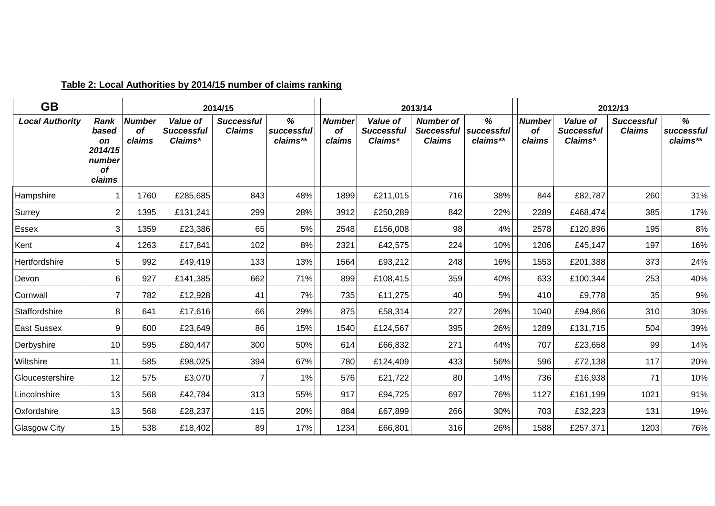| <b>GB</b>              |                                                                 |                                      |                                          | 2014/15                            |                             |                               |                                          | 2013/14                                                |                             |                                      |                                          | 2012/13                            |                             |
|------------------------|-----------------------------------------------------------------|--------------------------------------|------------------------------------------|------------------------------------|-----------------------------|-------------------------------|------------------------------------------|--------------------------------------------------------|-----------------------------|--------------------------------------|------------------------------------------|------------------------------------|-----------------------------|
| <b>Local Authority</b> | Rank<br>based<br><b>on</b><br>2014/15<br>number<br>of<br>claims | <b>Number</b><br><b>of</b><br>claims | Value of<br><b>Successful</b><br>Claims* | <b>Successful</b><br><b>Claims</b> | %<br>successful<br>claims** | <b>Number</b><br>οf<br>claims | Value of<br><b>Successful</b><br>Claims* | <b>Number of</b><br><b>Successful</b><br><b>Claims</b> | %<br>successful<br>claims** | <b>Number</b><br><b>of</b><br>claims | Value of<br><b>Successful</b><br>Claims* | <b>Successful</b><br><b>Claims</b> | %<br>successful<br>claims** |
| Hampshire              |                                                                 | 1760                                 | £285,685                                 | 843                                | 48%                         | 1899                          | £211,015                                 | 716                                                    | 38%                         | 844                                  | £82,787                                  | 260                                | 31%                         |
| Surrey                 | 2                                                               | 1395                                 | £131,241                                 | 299                                | 28%                         | 3912                          | £250,289                                 | 842                                                    | 22%                         | 2289                                 | £468,474                                 | 385                                | 17%                         |
| Essex                  | 3                                                               | 1359                                 | £23,386                                  | 65                                 | 5%                          | 2548                          | £156,008                                 | 98                                                     | 4%                          | 2578                                 | £120,896                                 | 195                                | 8%                          |
| Kent                   | Δ                                                               | 1263                                 | £17,841                                  | 102                                | 8%                          | 2321                          | £42,575                                  | 224                                                    | 10%                         | 1206                                 | £45,147                                  | 197                                | 16%                         |
| Hertfordshire          | $5\phantom{.0}$                                                 | 992                                  | £49,419                                  | 133                                | 13%                         | 1564                          | £93,212                                  | 248                                                    | 16%                         | 1553                                 | £201,388                                 | 373                                | 24%                         |
| Devon                  | 6                                                               | 927                                  | £141,385                                 | 662                                | 71%                         | 899                           | £108,415                                 | 359                                                    | 40%                         | 633                                  | £100,344                                 | 253                                | 40%                         |
| Cornwall               | $\overline{7}$                                                  | 782                                  | £12,928                                  | 41                                 | 7%                          | 735                           | £11,275                                  | 40                                                     | 5%                          | 410                                  | £9,778                                   | 35                                 | $9\%$                       |
| Staffordshire          | 8                                                               | 641                                  | £17,616                                  | 66                                 | 29%                         | 875                           | £58,314                                  | 227                                                    | 26%                         | 1040                                 | £94,866                                  | 310                                | 30%                         |
| <b>East Sussex</b>     | 9                                                               | 600                                  | £23,649                                  | 86                                 | 15%                         | 1540                          | £124,567                                 | 395                                                    | 26%                         | 1289                                 | £131,715                                 | 504                                | 39%                         |
| Derbyshire             | 10 <sup>1</sup>                                                 | 595                                  | £80,447                                  | 300                                | 50%                         | 614                           | £66,832                                  | 271                                                    | 44%                         | 707                                  | £23,658                                  | 99                                 | 14%                         |
| Wiltshire              | 11                                                              | 585                                  | £98,025                                  | 394                                | 67%                         | 780                           | £124,409                                 | 433                                                    | 56%                         | 596                                  | £72,138                                  | 117                                | 20%                         |
| Gloucestershire        | 12                                                              | 575                                  | £3,070                                   |                                    | 1%                          | 576                           | £21,722                                  | 80                                                     | 14%                         | 736                                  | £16,938                                  | 71                                 | 10%                         |
| Lincolnshire           | 13                                                              | 568                                  | £42,784                                  | 313                                | 55%                         | 917                           | £94,725                                  | 697                                                    | 76%                         | 1127                                 | £161,199                                 | 1021                               | 91%                         |
| Oxfordshire            | 13                                                              | 568                                  | £28,237                                  | 115                                | 20%                         | 884                           | £67,899                                  | 266                                                    | 30%                         | 703                                  | £32,223                                  | 131                                | 19%                         |
| <b>Glasgow City</b>    | 15                                                              | 538                                  | £18,402                                  | 89                                 | 17%                         | 1234                          | £66,801                                  | 316                                                    | 26%                         | 1588                                 | £257,371                                 | 1203                               | 76%                         |

## **Table 2: Local Authorities by 2014/15 number of claims ranking**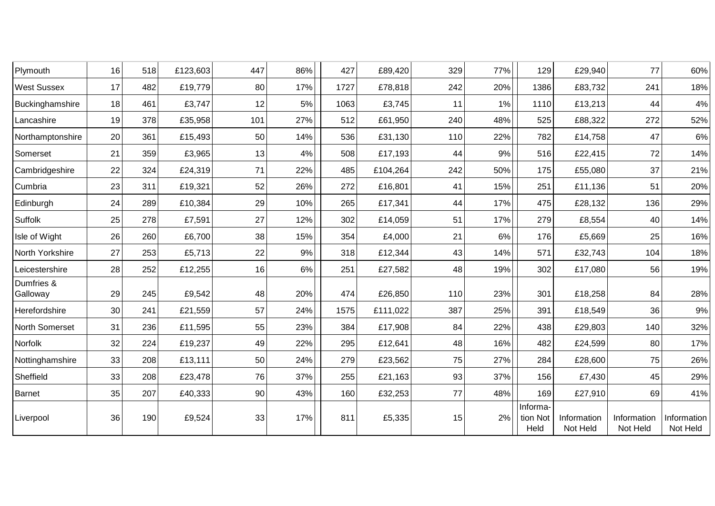| Plymouth               | 16 | 518 | £123,603 | 447 | 86% | 427  | £89,420  | 329 | 77% | 129                          | £29,940                 | 77                      | 60%                     |
|------------------------|----|-----|----------|-----|-----|------|----------|-----|-----|------------------------------|-------------------------|-------------------------|-------------------------|
| <b>West Sussex</b>     | 17 | 482 | £19,779  | 80  | 17% | 1727 | £78,818  | 242 | 20% | 1386                         | £83,732                 | 241                     | 18%                     |
| Buckinghamshire        | 18 | 461 | £3,747   | 12  | 5%  | 1063 | £3,745   | 11  | 1%  | 1110                         | £13,213                 | 44                      | 4%                      |
| Lancashire             | 19 | 378 | £35,958  | 101 | 27% | 512  | £61,950  | 240 | 48% | 525                          | £88,322                 | 272                     | 52%                     |
| Northamptonshire       | 20 | 361 | £15,493  | 50  | 14% | 536  | £31,130  | 110 | 22% | 782                          | £14,758                 | 47                      | 6%                      |
| Somerset               | 21 | 359 | £3,965   | 13  | 4%  | 508  | £17,193  | 44  | 9%  | 516                          | £22,415                 | 72                      | 14%                     |
| Cambridgeshire         | 22 | 324 | £24,319  | 71  | 22% | 485  | £104,264 | 242 | 50% | 175                          | £55,080                 | 37                      | 21%                     |
| Cumbria                | 23 | 311 | £19,321  | 52  | 26% | 272  | £16,801  | 41  | 15% | 251                          | £11,136                 | 51                      | 20%                     |
| Edinburgh              | 24 | 289 | £10,384  | 29  | 10% | 265  | £17,341  | 44  | 17% | 475                          | £28,132                 | 136                     | 29%                     |
| Suffolk                | 25 | 278 | £7,591   | 27  | 12% | 302  | £14,059  | 51  | 17% | 279                          | £8,554                  | 40                      | 14%                     |
| Isle of Wight          | 26 | 260 | £6,700   | 38  | 15% | 354  | £4,000   | 21  | 6%  | 176                          | £5,669                  | 25                      | 16%                     |
| North Yorkshire        | 27 | 253 | £5,713   | 22  | 9%  | 318  | £12,344  | 43  | 14% | 571                          | £32,743                 | 104                     | 18%                     |
| Leicestershire         | 28 | 252 | £12,255  | 16  | 6%  | 251  | £27,582  | 48  | 19% | 302                          | £17,080                 | 56                      | 19%                     |
| Dumfries &<br>Galloway | 29 | 245 | £9,542   | 48  | 20% | 474  | £26,850  | 110 | 23% | 301                          | £18,258                 | 84                      | 28%                     |
| Herefordshire          | 30 | 241 | £21,559  | 57  | 24% | 1575 | £111,022 | 387 | 25% | 391                          | £18,549                 | 36                      | 9%                      |
| North Somerset         | 31 | 236 | £11,595  | 55  | 23% | 384  | £17,908  | 84  | 22% | 438                          | £29,803                 | 140                     | 32%                     |
| Norfolk                | 32 | 224 | £19,237  | 49  | 22% | 295  | £12,641  | 48  | 16% | 482                          | £24,599                 | 80                      | 17%                     |
| Nottinghamshire        | 33 | 208 | £13,111  | 50  | 24% | 279  | £23,562  | 75  | 27% | 284                          | £28,600                 | 75                      | 26%                     |
| Sheffield              | 33 | 208 | £23,478  | 76  | 37% | 255  | £21,163  | 93  | 37% | 156                          | £7,430                  | 45                      | 29%                     |
| <b>Barnet</b>          | 35 | 207 | £40,333  | 90  | 43% | 160  | £32,253  | 77  | 48% | 169                          | £27,910                 | 69                      | 41%                     |
| Liverpool              | 36 | 190 | £9,524   | 33  | 17% | 811  | £5,335   | 15  | 2%  | Informa-<br>tion Not<br>Held | Information<br>Not Held | Information<br>Not Held | Information<br>Not Held |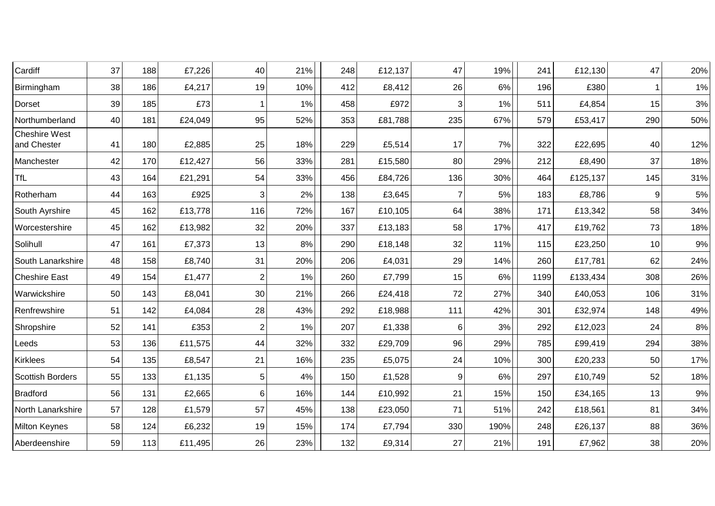| Cardiff                             | 37 | 188 | £7,226  | 40             | 21%   | 248 | £12,137 | 47  | 19%   | 241  | £12,130  | 47  | 20%  |
|-------------------------------------|----|-----|---------|----------------|-------|-----|---------|-----|-------|------|----------|-----|------|
| Birmingham                          | 38 | 186 | £4,217  | 19             | 10%   | 412 | £8,412  | 26  | 6%    | 196  | £380     |     | 1%   |
| Dorset                              | 39 | 185 | £73     | -1             | 1%    | 458 | £972    | 3   | 1%    | 511  | £4,854   | 15  | $3%$ |
| Northumberland                      | 40 | 181 | £24,049 | 95             | 52%   | 353 | £81,788 | 235 | 67%   | 579  | £53,417  | 290 | 50%  |
| <b>Cheshire West</b><br>and Chester | 41 | 180 | £2,885  | 25             | 18%   | 229 | £5,514  | 17  | 7%    | 322  | £22,695  | 40  | 12%  |
| Manchester                          | 42 | 170 | £12,427 | 56             | 33%   | 281 | £15,580 | 80  | 29%   | 212  | £8,490   | 37  | 18%  |
| <b>TfL</b>                          | 43 | 164 | £21,291 | 54             | 33%   | 456 | £84,726 | 136 | 30%   | 464  | £125,137 | 145 | 31%  |
| Rotherham                           | 44 | 163 | £925    | 3              | 2%    | 138 | £3,645  |     | 5%    | 183  | £8,786   | 9   | 5%   |
| South Ayrshire                      | 45 | 162 | £13,778 | 116            | 72%   | 167 | £10,105 | 64  | 38%   | 171  | £13,342  | 58  | 34%  |
| Worcestershire                      | 45 | 162 | £13,982 | 32             | 20%   | 337 | £13,183 | 58  | 17%   | 417  | £19,762  | 73  | 18%  |
| Solihull                            | 47 | 161 | £7,373  | 13             | 8%    | 290 | £18,148 | 32  | 11%   | 115  | £23,250  | 10  | 9%   |
| South Lanarkshire                   | 48 | 158 | £8,740  | 31             | 20%   | 206 | £4,031  | 29  | 14%   | 260  | £17,781  | 62  | 24%  |
| <b>Cheshire East</b>                | 49 | 154 | £1,477  | $\overline{2}$ | $1\%$ | 260 | £7,799  | 15  | $6\%$ | 1199 | £133,434 | 308 | 26%  |
| Warwickshire                        | 50 | 143 | £8,041  | 30             | 21%   | 266 | £24,418 | 72  | 27%   | 340  | £40,053  | 106 | 31%  |
| Renfrewshire                        | 51 | 142 | £4,084  | 28             | 43%   | 292 | £18,988 | 111 | 42%   | 301  | £32,974  | 148 | 49%  |
| Shropshire                          | 52 | 141 | £353    | $\overline{2}$ | 1%    | 207 | £1,338  | 6   | 3%    | 292  | £12,023  | 24  | 8%   |
| Leeds                               | 53 | 136 | £11,575 | 44             | 32%   | 332 | £29,709 | 96  | 29%   | 785  | £99,419  | 294 | 38%  |
| Kirklees                            | 54 | 135 | £8,547  | 21             | 16%   | 235 | £5,075  | 24  | 10%   | 300  | £20,233  | 50  | 17%  |
| <b>Scottish Borders</b>             | 55 | 133 | £1,135  | 5              | 4%    | 150 | £1,528  | 9   | 6%    | 297  | £10,749  | 52  | 18%  |
| <b>Bradford</b>                     | 56 | 131 | £2,665  | 6              | 16%   | 144 | £10,992 | 21  | 15%   | 150  | £34,165  | 13  | $9%$ |
| North Lanarkshire                   | 57 | 128 | £1,579  | 57             | 45%   | 138 | £23,050 | 71  | 51%   | 242  | £18,561  | 81  | 34%  |
| <b>Milton Keynes</b>                | 58 | 124 | £6,232  | 19             | 15%   | 174 | £7,794  | 330 | 190%  | 248  | £26,137  | 88  | 36%  |
| Aberdeenshire                       | 59 | 113 | £11,495 | 26             | 23%   | 132 | £9,314  | 27  | 21%   | 191  | £7,962   | 38  | 20%  |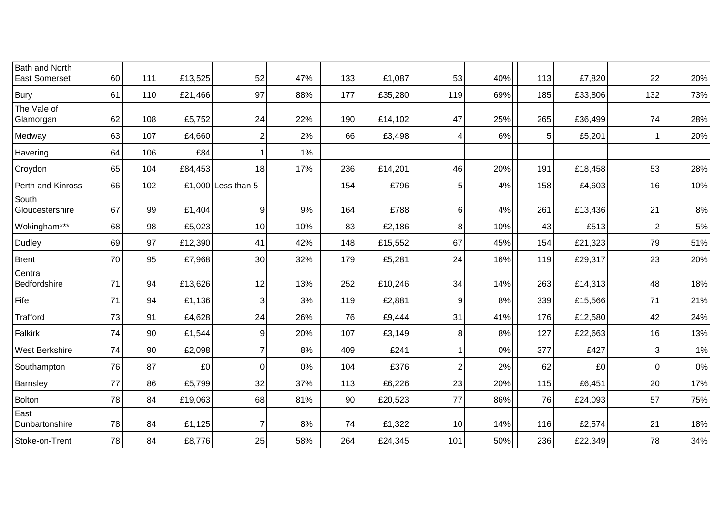| Bath and North<br><b>East Somerset</b> | 60 | 111 | £13,525 | 52                   | 47%            | 133 | £1,087  | 53             | 40%   | 113 | £7,820  | 22             | 20% |
|----------------------------------------|----|-----|---------|----------------------|----------------|-----|---------|----------------|-------|-----|---------|----------------|-----|
| <b>Bury</b>                            | 61 | 110 | £21,466 | 97                   | 88%            | 177 | £35,280 | 119            | 69%   | 185 | £33,806 | 132            | 73% |
| The Vale of<br>Glamorgan               | 62 | 108 | £5,752  | 24                   | 22%            | 190 | £14,102 | 47             | 25%   | 265 | £36,499 | 74             | 28% |
| Medway                                 | 63 | 107 | £4,660  | $\overline{2}$       | 2%             | 66  | £3,498  | 4              | $6\%$ | 5   | £5,201  | 1              | 20% |
| Havering                               | 64 | 106 | £84     |                      | 1%             |     |         |                |       |     |         |                |     |
| Croydon                                | 65 | 104 | £84,453 | 18                   | 17%            | 236 | £14,201 | 46             | 20%   | 191 | £18,458 | 53             | 28% |
| Perth and Kinross                      | 66 | 102 |         | £1,000 Less than $5$ | $\blacksquare$ | 154 | £796    | 5              | 4%    | 158 | £4,603  | 16             | 10% |
| South<br>Gloucestershire               | 67 | 99  | £1,404  | 9                    | 9%             | 164 | £788    | $6 \,$         | 4%    | 261 | £13,436 | 21             | 8%  |
| Wokingham***                           | 68 | 98  | £5,023  | 10                   | 10%            | 83  | £2,186  | 8              | 10%   | 43  | £513    | $\overline{2}$ | 5%  |
| <b>Dudley</b>                          | 69 | 97  | £12,390 | 41                   | 42%            | 148 | £15,552 | 67             | 45%   | 154 | £21,323 | 79             | 51% |
| <b>Brent</b>                           | 70 | 95  | £7,968  | 30                   | 32%            | 179 | £5,281  | 24             | 16%   | 119 | £29,317 | 23             | 20% |
| Central<br>Bedfordshire                | 71 | 94  | £13,626 | 12                   | 13%            | 252 | £10,246 | 34             | 14%   | 263 | £14,313 | 48             | 18% |
| Fife                                   | 71 | 94  | £1,136  | 3                    | 3%             | 119 | £2,881  | 9              | 8%    | 339 | £15,566 | 71             | 21% |
| Trafford                               | 73 | 91  | £4,628  | 24                   | 26%            | 76  | £9,444  | 31             | 41%   | 176 | £12,580 | 42             | 24% |
| Falkirk                                | 74 | 90  | £1,544  | 9                    | 20%            | 107 | £3,149  | 8              | 8%    | 127 | £22,663 | 16             | 13% |
| West Berkshire                         | 74 | 90  | £2,098  | $\overline{7}$       | 8%             | 409 | £241    |                | 0%    | 377 | £427    | 3              | 1%  |
| Southampton                            | 76 | 87  | £0      | $\mathbf 0$          | 0%             | 104 | £376    | $\overline{2}$ | 2%    | 62  | £0      | $\mathbf 0$    | 0%  |
| Barnsley                               | 77 | 86  | £5,799  | 32                   | 37%            | 113 | £6,226  | 23             | 20%   | 115 | £6,451  | 20             | 17% |
| <b>Bolton</b>                          | 78 | 84  | £19,063 | 68                   | 81%            | 90  | £20,523 | 77             | 86%   | 76  | £24,093 | 57             | 75% |
| East<br>Dunbartonshire                 | 78 | 84  | £1,125  | $\overline{7}$       | 8%             | 74  | £1,322  | 10             | 14%   | 116 | £2,574  | 21             | 18% |
| Stoke-on-Trent                         | 78 | 84  | £8,776  | 25                   | 58%            | 264 | £24,345 | 101            | 50%   | 236 | £22,349 | 78             | 34% |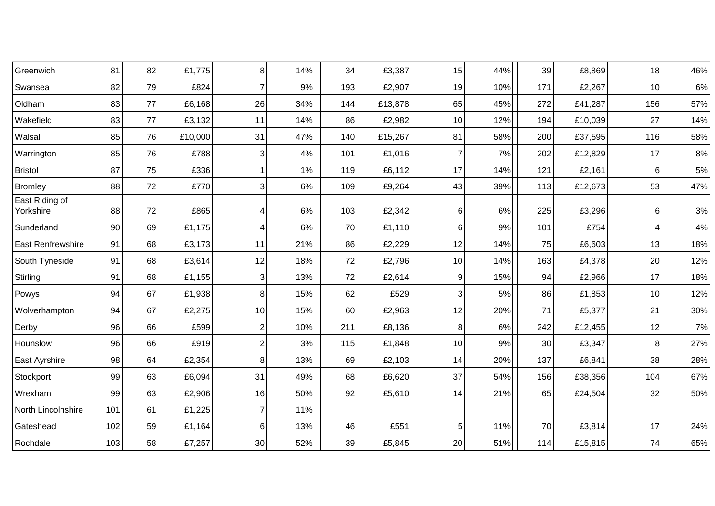| Greenwich                   | 81  | 82 | £1,775  | 8                | 14% | 34  | £3,387  | 15             | 44% | 39  | £8,869  | 18  | 46%   |
|-----------------------------|-----|----|---------|------------------|-----|-----|---------|----------------|-----|-----|---------|-----|-------|
| Swansea                     | 82  | 79 | £824    | $\overline{7}$   | 9%  | 193 | £2,907  | 19             | 10% | 171 | £2,267  | 10  | $6\%$ |
| Oldham                      | 83  | 77 | £6,168  | 26               | 34% | 144 | £13,878 | 65             | 45% | 272 | £41,287 | 156 | 57%   |
| Wakefield                   | 83  | 77 | £3,132  | 11               | 14% | 86  | £2,982  | 10             | 12% | 194 | £10,039 | 27  | 14%   |
| Walsall                     | 85  | 76 | £10,000 | 31               | 47% | 140 | £15,267 | 81             | 58% | 200 | £37,595 | 116 | 58%   |
| Warrington                  | 85  | 76 | £788    | 3                | 4%  | 101 | £1,016  | 7              | 7%  | 202 | £12,829 | 17  | $8\%$ |
| <b>Bristol</b>              | 87  | 75 | £336    | -1               | 1%  | 119 | £6,112  | 17             | 14% | 121 | £2,161  | 6   | $5\%$ |
| <b>Bromley</b>              | 88  | 72 | £770    | $\sqrt{3}$       | 6%  | 109 | £9,264  | 43             | 39% | 113 | £12,673 | 53  | 47%   |
| East Riding of<br>Yorkshire | 88  | 72 | £865    | 4                | 6%  | 103 | £2,342  | 6              | 6%  | 225 | £3,296  | 6   | $3%$  |
| Sunderland                  | 90  | 69 | £1,175  | 4                | 6%  | 70  | £1,110  | $6 \,$         | 9%  | 101 | £754    | 4   | $4\%$ |
| <b>East Renfrewshire</b>    | 91  | 68 | £3,173  | 11               | 21% | 86  | £2,229  | 12             | 14% | 75  | £6,603  | 13  | 18%   |
| South Tyneside              | 91  | 68 | £3,614  | 12               | 18% | 72  | £2,796  | 10             | 14% | 163 | £4,378  | 20  | 12%   |
| Stirling                    | 91  | 68 | £1,155  | 3                | 13% | 72  | £2,614  | 9              | 15% | 94  | £2,966  | 17  | 18%   |
| Powys                       | 94  | 67 | £1,938  | 8                | 15% | 62  | £529    | 3              | 5%  | 86  | £1,853  | 10  | 12%   |
| Wolverhampton               | 94  | 67 | £2,275  | 10               | 15% | 60  | £2,963  | 12             | 20% | 71  | £5,377  | 21  | 30%   |
| Derby                       | 96  | 66 | £599    | $\boldsymbol{2}$ | 10% | 211 | £8,136  | 8              | 6%  | 242 | £12,455 | 12  | $7\%$ |
| Hounslow                    | 96  | 66 | £919    | $\overline{2}$   | 3%  | 115 | £1,848  | 10             | 9%  | 30  | £3,347  | 8   | 27%   |
| East Ayrshire               | 98  | 64 | £2,354  | 8                | 13% | 69  | £2,103  | 14             | 20% | 137 | £6,841  | 38  | 28%   |
| Stockport                   | 99  | 63 | £6,094  | 31               | 49% | 68  | £6,620  | 37             | 54% | 156 | £38,356 | 104 | 67%   |
| Wrexham                     | 99  | 63 | £2,906  | 16               | 50% | 92  | £5,610  | 14             | 21% | 65  | £24,504 | 32  | 50%   |
| North Lincolnshire          | 101 | 61 | £1,225  | $\overline{7}$   | 11% |     |         |                |     |     |         |     |       |
| Gateshead                   | 102 | 59 | £1,164  | 6                | 13% | 46  | £551    | 5 <sup>5</sup> | 11% | 70  | £3,814  | 17  | 24%   |
| Rochdale                    | 103 | 58 | £7,257  | 30               | 52% | 39  | £5,845  | 20             | 51% | 114 | £15,815 | 74  | 65%   |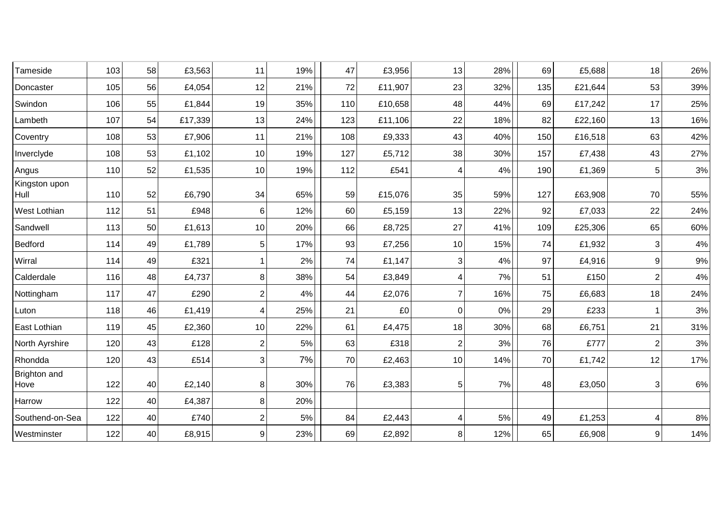| Tameside              | 103 | 58 | £3,563  | 11             | 19% | 47  | £3,956  | 13              | 28% | 69  | £5,688  | 18             | 26%   |
|-----------------------|-----|----|---------|----------------|-----|-----|---------|-----------------|-----|-----|---------|----------------|-------|
| Doncaster             | 105 | 56 | £4,054  | 12             | 21% | 72  | £11,907 | 23              | 32% | 135 | £21,644 | 53             | 39%   |
| Swindon               | 106 | 55 | £1,844  | 19             | 35% | 110 | £10,658 | 48              | 44% | 69  | £17,242 | 17             | 25%   |
| Lambeth               | 107 | 54 | £17,339 | 13             | 24% | 123 | £11,106 | 22              | 18% | 82  | £22,160 | 13             | 16%   |
| Coventry              | 108 | 53 | £7,906  | 11             | 21% | 108 | £9,333  | 43              | 40% | 150 | £16,518 | 63             | 42%   |
| Inverclyde            | 108 | 53 | £1,102  | 10             | 19% | 127 | £5,712  | 38              | 30% | 157 | £7,438  | 43             | 27%   |
| Angus                 | 110 | 52 | £1,535  | 10             | 19% | 112 | £541    | 4               | 4%  | 190 | £1,369  | 5              | $3%$  |
| Kingston upon<br>Hull | 110 | 52 | £6,790  | 34             | 65% | 59  | £15,076 | 35              | 59% | 127 | £63,908 | 70             | 55%   |
| <b>West Lothian</b>   | 112 | 51 | £948    | 6              | 12% | 60  | £5,159  | 13              | 22% | 92  | £7,033  | 22             | 24%   |
| Sandwell              | 113 | 50 | £1,613  | 10             | 20% | 66  | £8,725  | 27              | 41% | 109 | £25,306 | 65             | 60%   |
| Bedford               | 114 | 49 | £1,789  | $\mathbf 5$    | 17% | 93  | £7,256  | 10              | 15% | 74  | £1,932  | 3              | $4\%$ |
| Wirral                | 114 | 49 | £321    | $\overline{1}$ | 2%  | 74  | £1,147  | 3               | 4%  | 97  | £4,916  | 9              | $9\%$ |
| Calderdale            | 116 | 48 | £4,737  | 8              | 38% | 54  | £3,849  | 4               | 7%  | 51  | £150    | $\overline{2}$ | 4%    |
| Nottingham            | 117 | 47 | £290    | $\overline{2}$ | 4%  | 44  | £2,076  | $\overline{7}$  | 16% | 75  | £6,683  | 18             | 24%   |
| Luton                 | 118 | 46 | £1,419  | 4              | 25% | 21  | £0      | $\mathbf 0$     | 0%  | 29  | £233    |                | 3%    |
| East Lothian          | 119 | 45 | £2,360  | 10             | 22% | 61  | £4,475  | 18              | 30% | 68  | £6,751  | 21             | 31%   |
| North Ayrshire        | 120 | 43 | £128    | $\overline{2}$ | 5%  | 63  | £318    | $\overline{2}$  | 3%  | 76  | £777    | $\overline{2}$ | $3%$  |
| Rhondda               | 120 | 43 | £514    | 3              | 7%  | 70  | £2,463  | 10              | 14% | 70  | £1,742  | 12             | 17%   |
| Brighton and<br>Hove  | 122 | 40 | £2,140  | 8              | 30% | 76  | £3,383  | $5\phantom{.0}$ | 7%  | 48  | £3,050  | 3              | $6\%$ |
| Harrow                | 122 | 40 | £4,387  | 8              | 20% |     |         |                 |     |     |         |                |       |
| Southend-on-Sea       | 122 | 40 | £740    | $\overline{2}$ | 5%  | 84  | £2,443  | 4               | 5%  | 49  | £1,253  | 4              | $8\%$ |
| Westminster           | 122 | 40 | £8,915  | 9              | 23% | 69  | £2,892  | 8               | 12% | 65  | £6,908  | 9              | 14%   |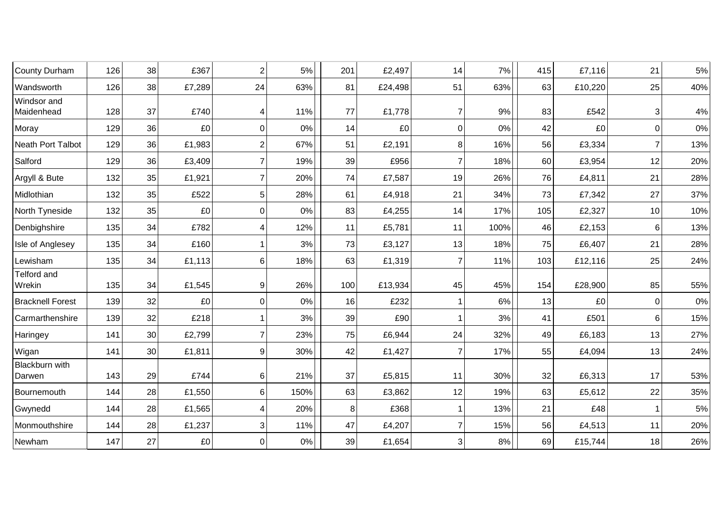| County Durham             | 126 | 38 | £367   | $\overline{2}$ | 5%    | 201            | £2,497  | 14             | 7%   | 415 | £7,116  | 21             | $5\%$ |
|---------------------------|-----|----|--------|----------------|-------|----------------|---------|----------------|------|-----|---------|----------------|-------|
| Wandsworth                | 126 | 38 | £7,289 | 24             | 63%   | 81             | £24,498 | 51             | 63%  | 63  | £10,220 | 25             | 40%   |
| Windsor and<br>Maidenhead | 128 | 37 | £740   | $\overline{4}$ | 11%   | 77             | £1,778  | 7              | 9%   | 83  | £542    | 3              | $4\%$ |
| Moray                     | 129 | 36 | £0     | $\mathbf 0$    | 0%    | 14             | £0      | 0              | 0%   | 42  | £0      | $\overline{0}$ | 0%    |
| Neath Port Talbot         | 129 | 36 | £1,983 | $\overline{2}$ | 67%   | 51             | £2,191  | 8              | 16%  | 56  | £3,334  | $\overline{7}$ | 13%   |
| Salford                   | 129 | 36 | £3,409 | $\overline{7}$ | 19%   | 39             | £956    | 7              | 18%  | 60  | £3,954  | 12             | 20%   |
| Argyll & Bute             | 132 | 35 | £1,921 | $\overline{7}$ | 20%   | 74             | £7,587  | 19             | 26%  | 76  | £4,811  | 21             | 28%   |
| Midlothian                | 132 | 35 | £522   | 5              | 28%   | 61             | £4,918  | 21             | 34%  | 73  | £7,342  | 27             | 37%   |
| North Tyneside            | 132 | 35 | £0     | $\mathbf 0$    | 0%    | 83             | £4,255  | 14             | 17%  | 105 | £2,327  | 10             | 10%   |
| Denbighshire              | 135 | 34 | £782   | 4              | 12%   | 11             | £5,781  | 11             | 100% | 46  | £2,153  | 6              | 13%   |
| Isle of Anglesey          | 135 | 34 | £160   | 1              | 3%    | 73             | £3,127  | 13             | 18%  | 75  | £6,407  | 21             | 28%   |
| Lewisham                  | 135 | 34 | £1,113 | 6              | 18%   | 63             | £1,319  | 7              | 11%  | 103 | £12,116 | 25             | 24%   |
| Telford and<br>Wrekin     | 135 | 34 | £1,545 | 9              | 26%   | 100            | £13,934 | 45             | 45%  | 154 | £28,900 | 85             | 55%   |
| <b>Bracknell Forest</b>   | 139 | 32 | £0     | $\mathbf 0$    | 0%    | 16             | £232    |                | 6%   | 13  | £0      | $\Omega$       | $0\%$ |
| Carmarthenshire           | 139 | 32 | £218   |                | 3%    | 39             | £90     |                | 3%   | 41  | £501    | 6              | 15%   |
| Haringey                  | 141 | 30 | £2,799 | $\overline{7}$ | 23%   | 75             | £6,944  | 24             | 32%  | 49  | £6,183  | 13             | 27%   |
| Wigan                     | 141 | 30 | £1,811 | 9              | 30%   | 42             | £1,427  | 7              | 17%  | 55  | £4,094  | 13             | 24%   |
| Blackburn with<br>Darwen  | 143 | 29 | £744   | $\,6\,$        | 21%   | 37             | £5,815  | 11             | 30%  | 32  | £6,313  | 17             | 53%   |
| Bournemouth               | 144 | 28 | £1,550 | 6              | 150%  | 63             | £3,862  | 12             | 19%  | 63  | £5,612  | 22             | 35%   |
| Gwynedd                   | 144 | 28 | £1,565 | 4              | 20%   | 8 <sup>1</sup> | £368    |                | 13%  | 21  | £48     |                | $5\%$ |
| Monmouthshire             | 144 | 28 | £1,237 | $\sqrt{3}$     | 11%   | 47             | £4,207  | $\overline{7}$ | 15%  | 56  | £4,513  | 11             | 20%   |
| Newham                    | 147 | 27 | £0     | $\mathbf 0$    | $0\%$ | 39             | £1,654  | 3              | 8%   | 69  | £15,744 | 18             | 26%   |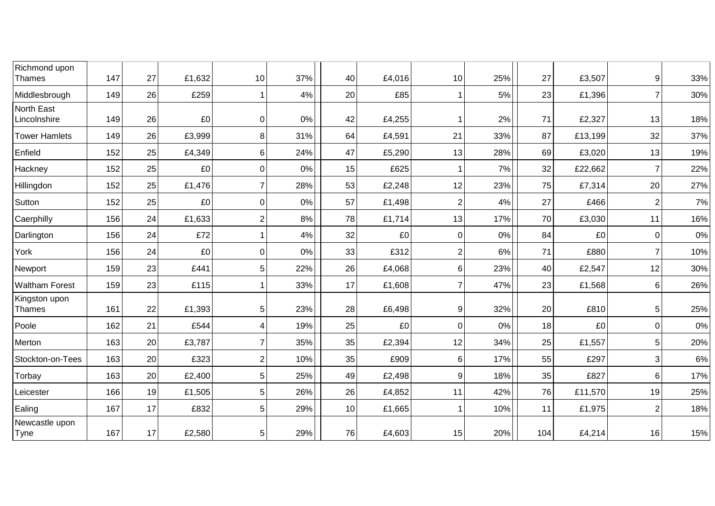| Richmond upon<br>Thames    | 147 | 27 | £1,632 | 10              | 37% | 40 | £4,016 | 10             | 25% | 27  | £3,507  | 9              | 33%   |
|----------------------------|-----|----|--------|-----------------|-----|----|--------|----------------|-----|-----|---------|----------------|-------|
| Middlesbrough              | 149 | 26 | £259   |                 | 4%  | 20 | £85    |                | 5%  | 23  | £1,396  | $\overline{7}$ | 30%   |
| North East<br>Lincolnshire | 149 | 26 | £0     | $\Omega$        | 0%  | 42 | £4,255 |                | 2%  | 71  | £2,327  | 13             | 18%   |
| <b>Tower Hamlets</b>       | 149 | 26 | £3,999 | 8               | 31% | 64 | £4,591 | 21             | 33% | 87  | £13,199 | 32             | 37%   |
| Enfield                    | 152 | 25 | £4,349 | $6\phantom{1}6$ | 24% | 47 | £5,290 | 13             | 28% | 69  | £3,020  | 13             | 19%   |
| Hackney                    | 152 | 25 | £0     | $\mathbf 0$     | 0%  | 15 | £625   |                | 7%  | 32  | £22,662 | $\overline{7}$ | 22%   |
| Hillingdon                 | 152 | 25 | £1,476 | $\overline{7}$  | 28% | 53 | £2,248 | 12             | 23% | 75  | £7,314  | 20             | 27%   |
| Sutton                     | 152 | 25 | £0     | $\mathbf 0$     | 0%  | 57 | £1,498 | $\overline{2}$ | 4%  | 27  | £466    | $\overline{2}$ | 7%    |
| Caerphilly                 | 156 | 24 | £1,633 | $\overline{2}$  | 8%  | 78 | £1,714 | 13             | 17% | 70  | £3,030  | 11             | 16%   |
| Darlington                 | 156 | 24 | £72    |                 | 4%  | 32 | £0     | 0              | 0%  | 84  | £0      | $\overline{0}$ | 0%    |
| York                       | 156 | 24 | £0     | 0               | 0%  | 33 | £312   | $\overline{2}$ | 6%  | 71  | £880    | $\overline{7}$ | 10%   |
| Newport                    | 159 | 23 | £441   | 5               | 22% | 26 | £4,068 | 6              | 23% | 40  | £2,547  | 12             | 30%   |
| <b>Waltham Forest</b>      | 159 | 23 | £115   |                 | 33% | 17 | £1,608 | $\overline{7}$ | 47% | 23  | £1,568  | 6              | 26%   |
| Kingston upon<br>Thames    | 161 | 22 | £1,393 | 5               | 23% | 28 | £6,498 | 9              | 32% | 20  | £810    | 5              | 25%   |
| Poole                      | 162 | 21 | £544   | $\overline{4}$  | 19% | 25 | £0     | 0              | 0%  | 18  | £0      | $\overline{0}$ | $0\%$ |
| Merton                     | 163 | 20 | £3,787 | $\overline{7}$  | 35% | 35 | £2,394 | 12             | 34% | 25  | £1,557  | 5              | 20%   |
| Stockton-on-Tees           | 163 | 20 | £323   | $\overline{2}$  | 10% | 35 | £909   | 6              | 17% | 55  | £297    | 3              | 6%    |
| Torbay                     | 163 | 20 | £2,400 | 5               | 25% | 49 | £2,498 | 9              | 18% | 35  | £827    | 6              | 17%   |
| Leicester                  | 166 | 19 | £1,505 | 5               | 26% | 26 | £4,852 | 11             | 42% | 76  | £11,570 | 19             | 25%   |
| Ealing                     | 167 | 17 | £832   | 5               | 29% | 10 | £1,665 |                | 10% | 11  | £1,975  | $\overline{2}$ | 18%   |
| Newcastle upon<br>Tyne     | 167 | 17 | £2,580 | 5               | 29% | 76 | £4,603 | 15             | 20% | 104 | £4,214  | 16             | 15%   |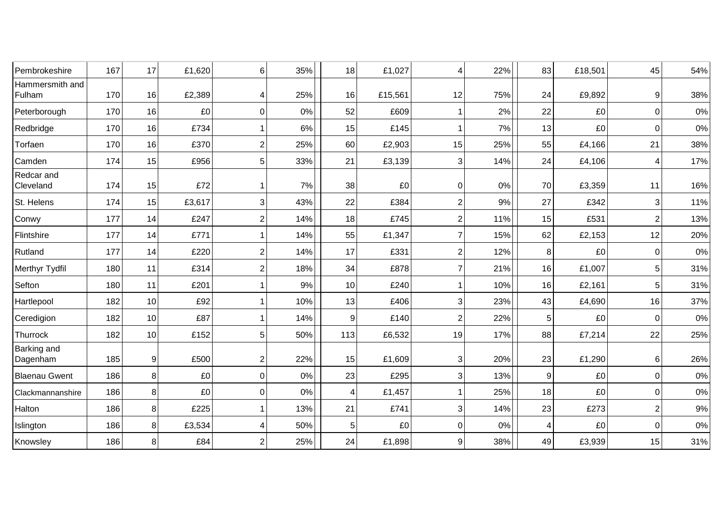| Pembrokeshire             | 167 | 17 | £1,620 | 6              | 35% | 18             | £1,027  | 4                | 22%   | 83             | £18,501 | 45             | 54%   |
|---------------------------|-----|----|--------|----------------|-----|----------------|---------|------------------|-------|----------------|---------|----------------|-------|
| Hammersmith and<br>Fulham | 170 | 16 | £2,389 | 4              | 25% | 16             | £15,561 | 12               | 75%   | 24             | £9,892  | 9              | 38%   |
| Peterborough              | 170 | 16 | £0     | $\mathbf 0$    | 0%  | 52             | £609    |                  | 2%    | 22             | £0      | $\mathbf 0$    | $0\%$ |
| Redbridge                 | 170 | 16 | £734   |                | 6%  | 15             | £145    |                  | 7%    | 13             | £0      | $\mathbf 0$    | $0\%$ |
| Torfaen                   | 170 | 16 | £370   | $\overline{2}$ | 25% | 60             | £2,903  | 15               | 25%   | 55             | £4,166  | 21             | 38%   |
| Camden                    | 174 | 15 | £956   | 5              | 33% | 21             | £3,139  | 3                | 14%   | 24             | £4,106  | 4              | 17%   |
| Redcar and<br>Cleveland   | 174 | 15 | £72    |                | 7%  | 38             | £0      | $\mathbf 0$      | 0%    | 70             | £3,359  | 11             | 16%   |
| St. Helens                | 174 | 15 | £3,617 | 3              | 43% | 22             | £384    | $\overline{2}$   | 9%    | 27             | £342    | 3              | 11%   |
| Conwy                     | 177 | 14 | £247   | $\overline{2}$ | 14% | 18             | £745    | $\overline{2}$   | 11%   | 15             | £531    | $\overline{2}$ | 13%   |
| Flintshire                | 177 | 14 | £771   |                | 14% | 55             | £1,347  | 7                | 15%   | 62             | £2,153  | 12             | 20%   |
| Rutland                   | 177 | 14 | £220   | $\overline{2}$ | 14% | 17             | £331    | 2                | 12%   | 8              | £0      | $\mathbf 0$    | 0%    |
| Merthyr Tydfil            | 180 | 11 | £314   | $\overline{2}$ | 18% | 34             | £878    | 7                | 21%   | 16             | £1,007  | 5              | 31%   |
| Sefton                    | 180 | 11 | £201   |                | 9%  | 10             | £240    |                  | 10%   | 16             | £2,161  | 5              | 31%   |
| Hartlepool                | 182 | 10 | £92    |                | 10% | 13             | £406    | 3                | 23%   | 43             | £4,690  | 16             | 37%   |
| Ceredigion                | 182 | 10 | £87    |                | 14% | $\overline{9}$ | £140    | $\overline{2}$   | 22%   | 5              | £0      | $\Omega$       | 0%    |
| Thurrock                  | 182 | 10 | £152   | 5              | 50% | 113            | £6,532  | 19               | 17%   | 88             | £7,214  | 22             | 25%   |
| Barking and<br>Dagenham   | 185 | 9  | £500   | $\overline{2}$ | 22% | 15             | £1,609  | 3                | 20%   | 23             | £1,290  | 6              | 26%   |
| <b>Blaenau Gwent</b>      | 186 | 8  | £0     | $\mathbf 0$    | 0%  | 23             | £295    | 3                | 13%   | $\overline{9}$ | £0      | 0              | $0\%$ |
| Clackmannanshire          | 186 | 8  | £0     | $\Omega$       | 0%  | 4              | £1,457  |                  | 25%   | 18             | £0      | $\mathbf 0$    | 0%    |
| Halton                    | 186 | 8  | £225   |                | 13% | 21             | £741    | 3                | 14%   | 23             | £273    | $\overline{2}$ | 9%    |
| Islington                 | 186 | 8  | £3,534 | $\overline{4}$ | 50% | $\,$ 5 $\,$    | £0      | $\boldsymbol{0}$ | $0\%$ | 4              | £0      | $\overline{0}$ | $0\%$ |
| Knowsley                  | 186 | 8  | £84    | $\overline{2}$ | 25% | 24             | £1,898  | 9                | 38%   | 49             | £3,939  | 15             | 31%   |